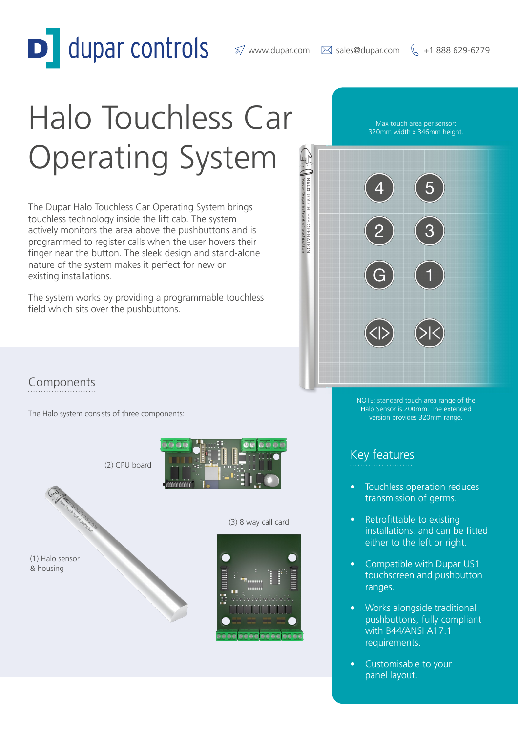dupar controls

# Halo Touchless Car Operating System

The Dupar Halo Touchless Car Operating System brings touchless technology inside the lift cab. The system actively monitors the area above the pushbuttons and is programmed to register calls when the user hovers their finger near the button. The sleek design and stand-alone nature of the system makes it perfect for new or existing installations.

The system works by providing a programmable touchless field which sits over the pushbuttons.

Max touch area per sensor: 320mm width x 346mm height.



NOTE: standard touch area range of the Halo Sensor is 200mm. The extended version provides 320mm range.

### Key features

Touchless operation reduces transmission of germs.

- Retrofittable to existing installations, and can be fitted either to the left or right.
- Compatible with Dupar US1 touchscreen and pushbutton ranges.
- Works alongside traditional pushbuttons, fully compliant with B44/ANSI A17.1 requirements.
- Customisable to your panel layout.

# Components

The Halo system consists of three components:

(2) CPU board

maaaaaa







(3) 8 way call card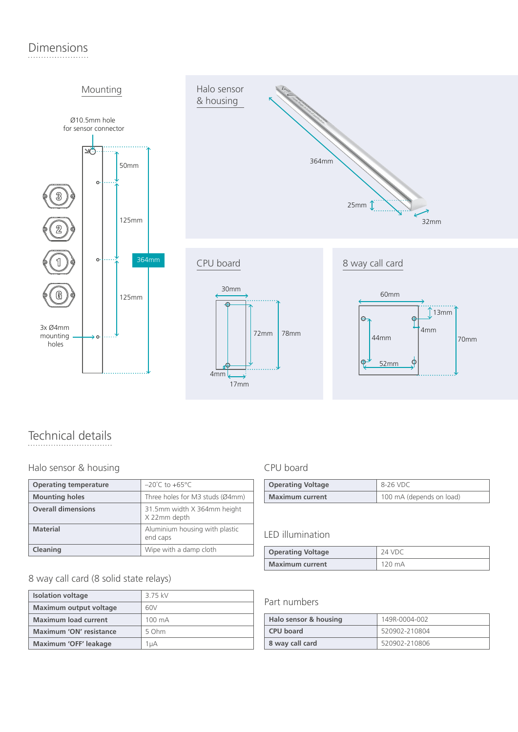# Dimensions





# Technical details

#### Halo sensor & housing extending the CPU board

| <b>Operating temperature</b> | $-20^{\circ}$ C to $+65^{\circ}$ C          |
|------------------------------|---------------------------------------------|
| <b>Mounting holes</b>        | Three holes for M3 studs (Ø4mm)             |
| <b>Overall dimensions</b>    | 31.5mm width X 364mm height<br>X 22mm depth |
| <b>Material</b>              | Aluminium housing with plastic<br>end caps  |
| Cleaning                     | Wipe with a damp cloth                      |

#### 8 way call card (8 solid state relays)

| <b>Isolation voltage</b>      | 3 75 kV          |
|-------------------------------|------------------|
| <b>Maximum output voltage</b> | 60V              |
| <b>Maximum load current</b>   | $100 \text{ mA}$ |
| Maximum 'ON' resistance       | 5 Ohm            |
| Maximum 'OFF' leakage         | 1uA              |

 $17mm$ 

4mm

| <b>Operating Voltage</b> | 8-26 VDC                 |
|--------------------------|--------------------------|
| <b>Maximum current</b>   | 100 mA (depends on load) |

52mm

⋒

 $\phi$ 

#### LED illumination

| <b>Operating Voltage</b> | 24 VDC |
|--------------------------|--------|
| <b>Maximum current</b>   | 120 mA |

#### Part numbers

| Halo sensor & housing | 149R-0004-002 |
|-----------------------|---------------|
| <b>CPU</b> board      | 520902-210804 |
| 8 way call card       | 520902-210806 |